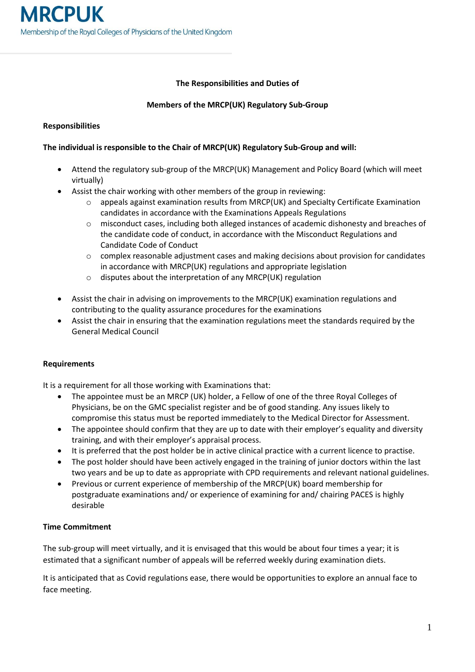## **The Responsibilities and Duties of**

## **Members of the MRCP(UK) Regulatory Sub-Group**

### **Responsibilities**

# **The individual is responsible to the Chair of MRCP(UK) Regulatory Sub-Group and will:**

- Attend the regulatory sub-group of the MRCP(UK) Management and Policy Board (which will meet virtually)
- Assist the chair working with other members of the group in reviewing:
	- o appeals against examination results from MRCP(UK) and Specialty Certificate Examination candidates in accordance with the Examinations Appeals Regulations
	- o misconduct cases, including both alleged instances of academic dishonesty and breaches of the candidate code of conduct, in accordance with the Misconduct Regulations and Candidate Code of Conduct
	- $\circ$  complex reasonable adjustment cases and making decisions about provision for candidates in accordance with MRCP(UK) regulations and appropriate legislation
	- o disputes about the interpretation of any MRCP(UK) regulation
- Assist the chair in advising on improvements to the MRCP(UK) examination regulations and contributing to the quality assurance procedures for the examinations
- Assist the chair in ensuring that the examination regulations meet the standards required by the General Medical Council

### **Requirements**

It is a requirement for all those working with Examinations that:

- The appointee must be an MRCP (UK) holder, a Fellow of one of the three Royal Colleges of Physicians, be on the GMC specialist register and be of good standing. Any issues likely to compromise this status must be reported immediately to the Medical Director for Assessment.
- The appointee should confirm that they are up to date with their employer's equality and diversity training, and with their employer's appraisal process.
- It is preferred that the post holder be in active clinical practice with a current licence to practise.
- The post holder should have been actively engaged in the training of junior doctors within the last two years and be up to date as appropriate with CPD requirements and relevant national guidelines.
- Previous or current experience of membership of the MRCP(UK) board membership for postgraduate examinations and/ or experience of examining for and/ chairing PACES is highly desirable

### **Time Commitment**

The sub-group will meet virtually, and it is envisaged that this would be about four times a year; it is estimated that a significant number of appeals will be referred weekly during examination diets.

It is anticipated that as Covid regulations ease, there would be opportunities to explore an annual face to face meeting.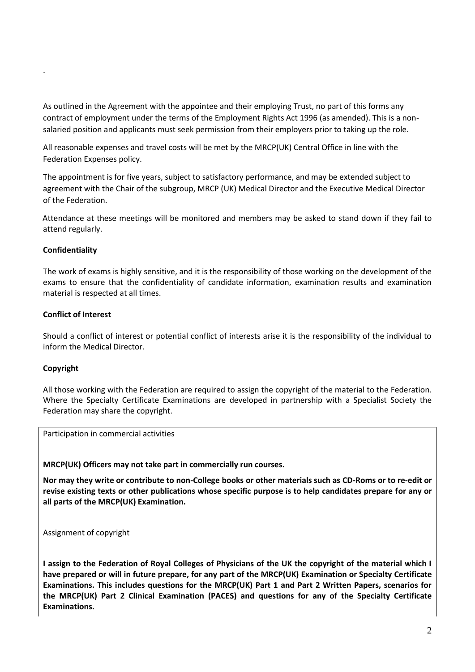As outlined in the Agreement with the appointee and their employing Trust, no part of this forms any contract of employment under the terms of the Employment Rights Act 1996 (as amended). This is a nonsalaried position and applicants must seek permission from their employers prior to taking up the role.

All reasonable expenses and travel costs will be met by the MRCP(UK) Central Office in line with the Federation Expenses policy.

The appointment is for five years, subject to satisfactory performance, and may be extended subject to agreement with the Chair of the subgroup, MRCP (UK) Medical Director and the Executive Medical Director of the Federation.

Attendance at these meetings will be monitored and members may be asked to stand down if they fail to attend regularly.

#### **Confidentiality**

.

The work of exams is highly sensitive, and it is the responsibility of those working on the development of the exams to ensure that the confidentiality of candidate information, examination results and examination material is respected at all times.

#### **Conflict of Interest**

Should a conflict of interest or potential conflict of interests arise it is the responsibility of the individual to inform the Medical Director.

#### **Copyright**

All those working with the Federation are required to assign the copyright of the material to the Federation. Where the Specialty Certificate Examinations are developed in partnership with a Specialist Society the Federation may share the copyright.

Participation in commercial activities

**MRCP(UK) Officers may not take part in commercially run courses.** 

**Nor may they write or contribute to non-College books or other materials such as CD-Roms or to re-edit or revise existing texts or other publications whose specific purpose is to help candidates prepare for any or all parts of the MRCP(UK) Examination.**

Assignment of copyright

**I assign to the Federation of Royal Colleges of Physicians of the UK the copyright of the material which I have prepared or will in future prepare, for any part of the MRCP(UK) Examination or Specialty Certificate Examinations. This includes questions for the MRCP(UK) Part 1 and Part 2 Written Papers, scenarios for the MRCP(UK) Part 2 Clinical Examination (PACES) and questions for any of the Specialty Certificate Examinations.**